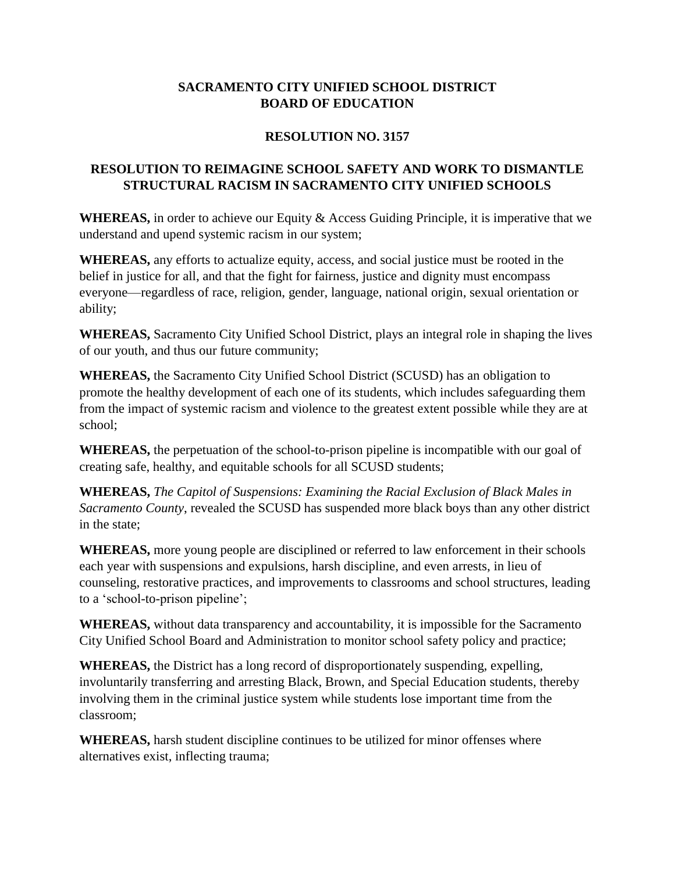## **SACRAMENTO CITY UNIFIED SCHOOL DISTRICT BOARD OF EDUCATION**

## **RESOLUTION NO. 3157**

## **RESOLUTION TO REIMAGINE SCHOOL SAFETY AND WORK TO DISMANTLE STRUCTURAL RACISM IN SACRAMENTO CITY UNIFIED SCHOOLS**

**WHEREAS,** in order to achieve our Equity & Access Guiding Principle, it is imperative that we understand and upend systemic racism in our system;

**WHEREAS,** any efforts to actualize equity, access, and social justice must be rooted in the belief in justice for all, and that the fight for fairness, justice and dignity must encompass everyone—regardless of race, religion, gender, language, national origin, sexual orientation or ability;

**WHEREAS,** Sacramento City Unified School District, plays an integral role in shaping the lives of our youth, and thus our future community;

**WHEREAS,** the Sacramento City Unified School District (SCUSD) has an obligation to promote the healthy development of each one of its students, which includes safeguarding them from the impact of systemic racism and violence to the greatest extent possible while they are at school;

**WHEREAS,** the perpetuation of the school-to-prison pipeline is incompatible with our goal of creating safe, healthy, and equitable schools for all SCUSD students;

**WHEREAS,** *The Capitol of Suspensions: Examining the Racial Exclusion of Black Males in Sacramento County*, revealed the SCUSD has suspended more black boys than any other district in the state;

**WHEREAS,** more young people are disciplined or referred to law enforcement in their schools each year with suspensions and expulsions, harsh discipline, and even arrests, in lieu of counseling, restorative practices, and improvements to classrooms and school structures, leading to a 'school-to-prison pipeline';

**WHEREAS,** without data transparency and accountability, it is impossible for the Sacramento City Unified School Board and Administration to monitor school safety policy and practice;

**WHEREAS,** the District has a long record of disproportionately suspending, expelling, involuntarily transferring and arresting Black, Brown, and Special Education students, thereby involving them in the criminal justice system while students lose important time from the classroom;

**WHEREAS,** harsh student discipline continues to be utilized for minor offenses where alternatives exist, inflecting trauma;